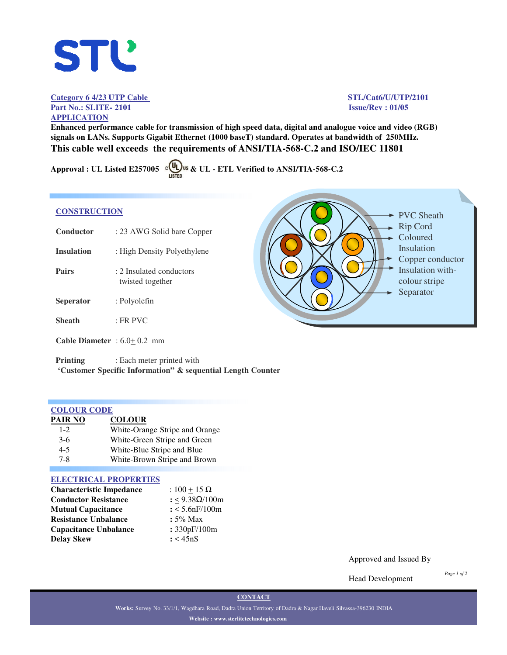# **STL'**

# Category 6 4/23 UTP Cable STL/Cat6/U/UTP/2101 **Part No.: SLITE- 2101 Issue/Rev : 01/05 APPLICATION**

**Enhanced performance cable for transmission of high speed data, digital and analogue voice and video (RGB) signals on LANs. Supports Gigabit Ethernet (1000 baseT) standard. Operates at bandwidth of 250MHz. This cable well exceeds the requirements of ANSI/TIA-568-C.2 and ISO/IEC 11801**

Approval : UL Listed E257005  $\circ$  U<sub>LISTED</sub> us & UL - ETL Verified to ANSI/TIA-568-C.2

# **CONSTRUCTION**

| Conductor                            | : 23 AWG Solid bare Copper                   |
|--------------------------------------|----------------------------------------------|
| <b>Insulation</b>                    | : High Density Polyethylene                  |
| Pairs                                | : 2 Insulated conductors<br>twisted together |
| <b>Seperator</b>                     | : Polyolefin                                 |
| <b>Sheath</b>                        | $\cdot$ FR PVC                               |
| <b>Cable Diameter</b> : $6.0+0.2$ mm |                                              |

**Printing** : Each meter printed with **'Customer Specific Information" & sequential Length Counter**

| <b>COLOUR CODE</b> |                                |
|--------------------|--------------------------------|
| <b>PAIR NO</b>     | <b>COLOUR</b>                  |
| $1 - 2$            | White-Orange Stripe and Orange |
| $3-6$              | White-Green Stripe and Green   |
| $4 - 5$            | White-Blue Stripe and Blue     |
| $7 - 8$            | White-Brown Stripe and Brown   |

# **ELECTRICAL PROPERTIES**

| <b>Characteristic Impedance</b> | : $100 + 15 \Omega$ |
|---------------------------------|---------------------|
| <b>Conductor Resistance</b>     | : <9.38Ω/100m       |
| <b>Mutual Capacitance</b>       | : 5.6nF/100m        |
| <b>Resistance Unbalance</b>     | $: 5\%$ Max         |
| <b>Capacitance Unbalance</b>    | : 330pF/100m        |
| <b>Delay Skew</b>               | : < 45nS            |

PVC Sheath Rip Cord Coloured Insulation Copper conductor Insulation withcolour stripe Separator

Approved and Issued By

Head Development

*Page 1 of 2*

**CONTACT**

**Works:** Survey No. 33/1/1, Wagdhara Road, Dadra Union Territory of Dadra & Nagar Haveli Silvassa-396230 INDIA **Website : www.sterlitetechnologies.com**